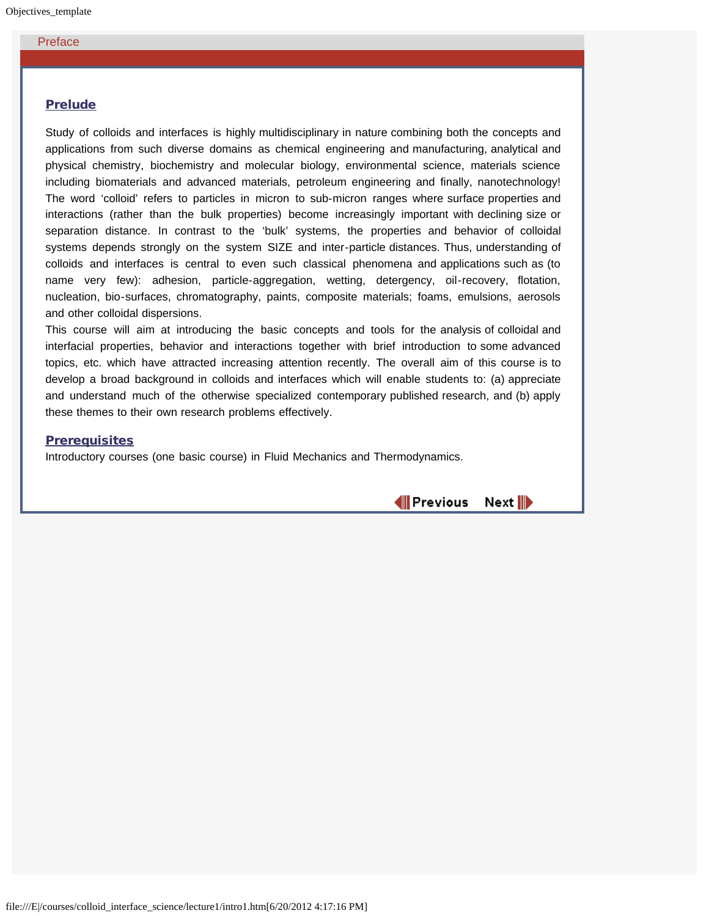#### **Prelude**

Study of colloids and interfaces is highly multidisciplinary in nature combining both the concepts and applications from such diverse domains as chemical engineering and manufacturing, analytical and physical chemistry, biochemistry and molecular biology, environmental science, materials science including biomaterials and advanced materials, petroleum engineering and finally, nanotechnology! The word 'colloid' refers to particles in micron to sub-micron ranges where surface properties and interactions (rather than the bulk properties) become increasingly important with declining size or separation distance. In contrast to the 'bulk' systems, the properties and behavior of colloidal systems depends strongly on the system SIZE and inter-particle distances. Thus, understanding of colloids and interfaces is central to even such classical phenomena and applications such as (to name very few): adhesion, particle-aggregation, wetting, detergency, oil-recovery, flotation, nucleation, bio-surfaces, chromatography, paints, composite materials; foams, emulsions, aerosols and other colloidal dispersions.

This course will aim at introducing the basic concepts and tools for the analysis of colloidal and interfacial properties, behavior and interactions together with brief introduction to some advanced topics, etc. which have attracted increasing attention recently. The overall aim of this course is to develop a broad background in colloids and interfaces which will enable students to: (a) appreciate and understand much of the otherwise specialized contemporary published research, and (b) apply these themes to their own research problems effectively.

#### **Prerequisites**

Introductory courses (one basic course) in Fluid Mechanics and Thermodynamics.

( Previous Next | )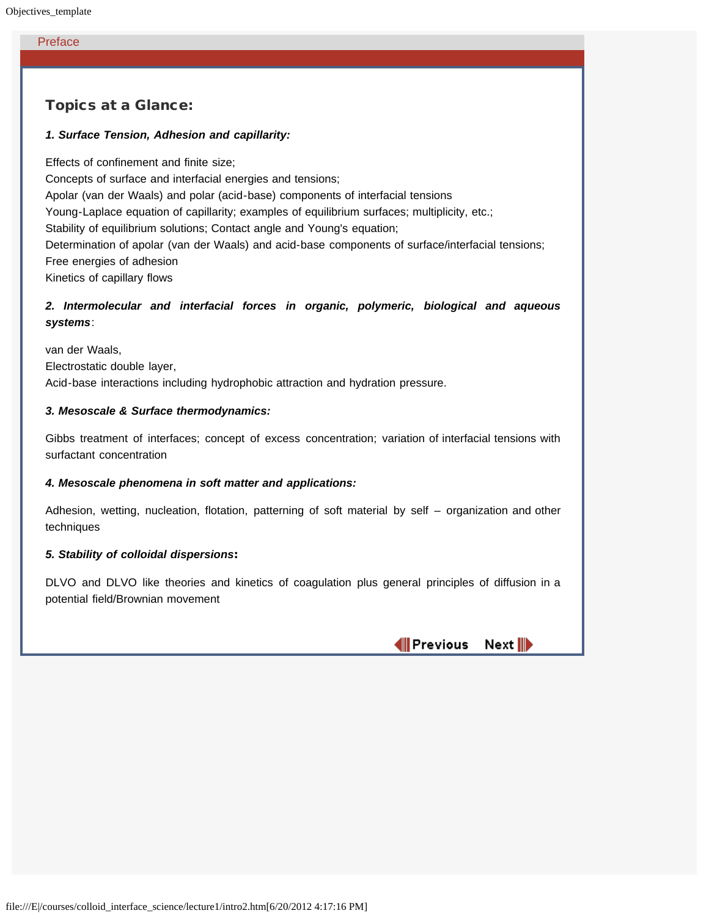#### Preface

## Topics at a Glance:

### *1. Surface Tension, Adhesion and capillarity:*

Effects of confinement and finite size; Concepts of surface and interfacial energies and tensions; Apolar (van der Waals) and polar (acid-base) components of interfacial tensions Young-Laplace equation of capillarity; examples of equilibrium surfaces; multiplicity, etc.; Stability of equilibrium solutions; Contact angle and Young's equation; Determination of apolar (van der Waals) and acid-base components of surface/interfacial tensions; Free energies of adhesion Kinetics of capillary flows

## *2. Intermolecular and interfacial forces in organic, polymeric, biological and aqueous systems*:

van der Waals, Electrostatic double layer, Acid-base interactions including hydrophobic attraction and hydration pressure.

### *3. Mesoscale & Surface thermodynamics:*

Gibbs treatment of interfaces; concept of excess concentration; variation of interfacial tensions with surfactant concentration

#### *4. Mesoscale phenomena in soft matter and applications:*

Adhesion, wetting, nucleation, flotation, patterning of soft material by self – organization and other techniques

#### *5. Stability of colloidal dispersions*:

DLVO and DLVO like theories and kinetics of coagulation plus general principles of diffusion in a potential field/Brownian movement

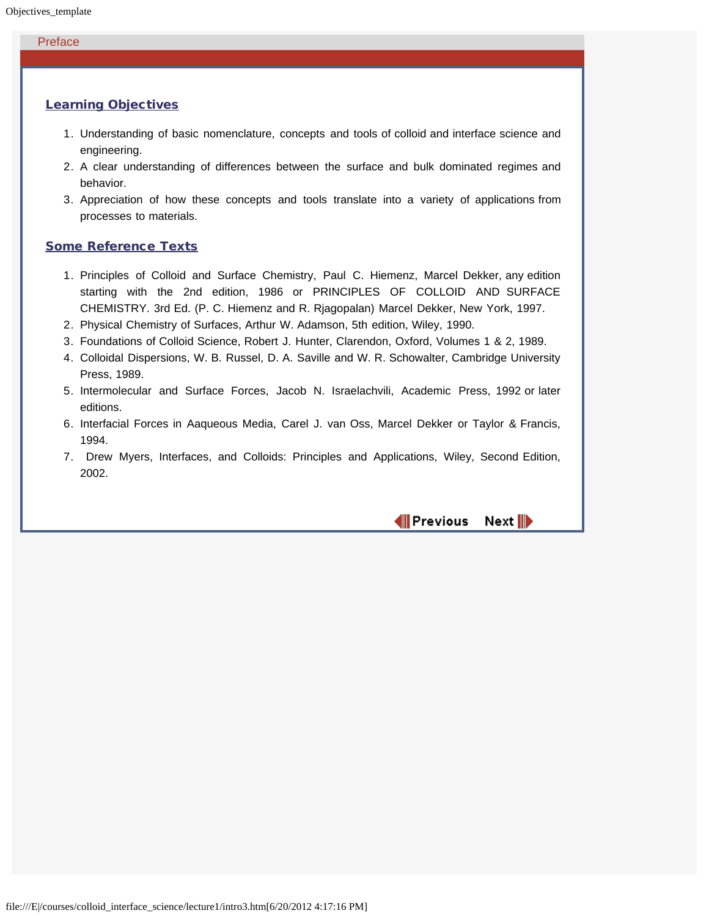#### Preface

## Learning Objectives

- 1. Understanding of basic nomenclature, concepts and tools of colloid and interface science and engineering.
- 2. A clear understanding of differences between the surface and bulk dominated regimes and behavior.
- 3. Appreciation of how these concepts and tools translate into a variety of applications from processes to materials.

## Some Reference Texts

- 1. Principles of Colloid and Surface Chemistry, Paul C. Hiemenz, Marcel Dekker, any edition starting with the 2nd edition, 1986 or PRINCIPLES OF COLLOID AND SURFACE CHEMISTRY. 3rd Ed. (P. C. Hiemenz and R. Rjagopalan) Marcel Dekker, New York, 1997.
- 2. Physical Chemistry of Surfaces, Arthur W. Adamson, 5th edition, Wiley, 1990.
- 3. Foundations of Colloid Science, Robert J. Hunter, Clarendon, Oxford, Volumes 1 & 2, 1989.
- 4. Colloidal Dispersions, W. B. Russel, D. A. Saville and W. R. Schowalter, Cambridge University Press, 1989.
- 5. Intermolecular and Surface Forces, Jacob N. Israelachvili, Academic Press, 1992 or later editions.
- 6. Interfacial Forces in Aaqueous Media, Carel J. van Oss, Marcel Dekker or Taylor & Francis, 1994.
- 7. Drew Myers, Interfaces, and Colloids: Principles and Applications, Wiley, Second Edition, 2002.

(<mark></mark> Previous Next |